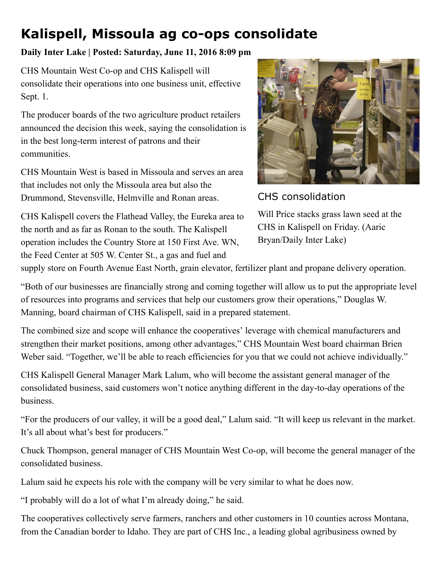## Kalispell, Missoula ag co-ops consolidate

## Daily Inter Lake | Posted: Saturday, June 11, 2016 8:09 pm

CHS Mountain West Co-op and CHS Kalispell will consolidate their operations into one business unit, effective Sept. 1.

The producer boards of the two agriculture product retailers announced the decision this week, saying the consolidation is in the best long-term interest of patrons and their communities.

CHS Mountain West is based in Missoula and serves an area that includes not only the Missoula area but also the Drummond, Stevensville, Helmville and Ronan areas.

CHS Kalispell covers the Flathead Valley, the Eureka area to the north and as far as Ronan to the south. The Kalispell operation includes the Country Store at 150 First Ave. WN, the Feed Center at 505 W. Center St., a gas and fuel and



CHS consolidation

Will Price stacks grass lawn seed at the CHS in Kalispell on Friday. (Aaric Bryan/Daily Inter Lake)

supply store on Fourth Avenue East North, grain elevator, fertilizer plant and propane delivery operation.

"Both of our businesses are financially strong and coming together will allow us to put the appropriate level of resources into programs and services that help our customers grow their operations," Douglas W. Manning, board chairman of CHS Kalispell, said in a prepared statement.

The combined size and scope will enhance the cooperatives' leverage with chemical manufacturers and strengthen their market positions, among other advantages," CHS Mountain West board chairman Brien Weber said. "Together, we'll be able to reach efficiencies for you that we could not achieve individually."

CHS Kalispell General Manager Mark Lalum, who will become the assistant general manager of the consolidated business, said customers won't notice anything different in the day-to-day operations of the business.

"For the producers of our valley, it will be a good deal," Lalum said. "It will keep us relevant in the market. It's all about what's best for producers."

Chuck Thompson, general manager of CHS Mountain West Co-op, will become the general manager of the consolidated business.

Lalum said he expects his role with the company will be very similar to what he does now.

"I probably will do a lot of what I'm already doing," he said.

The cooperatives collectively serve farmers, ranchers and other customers in 10 counties across Montana, from the Canadian border to Idaho. They are part of CHS Inc., a leading global agribusiness owned by